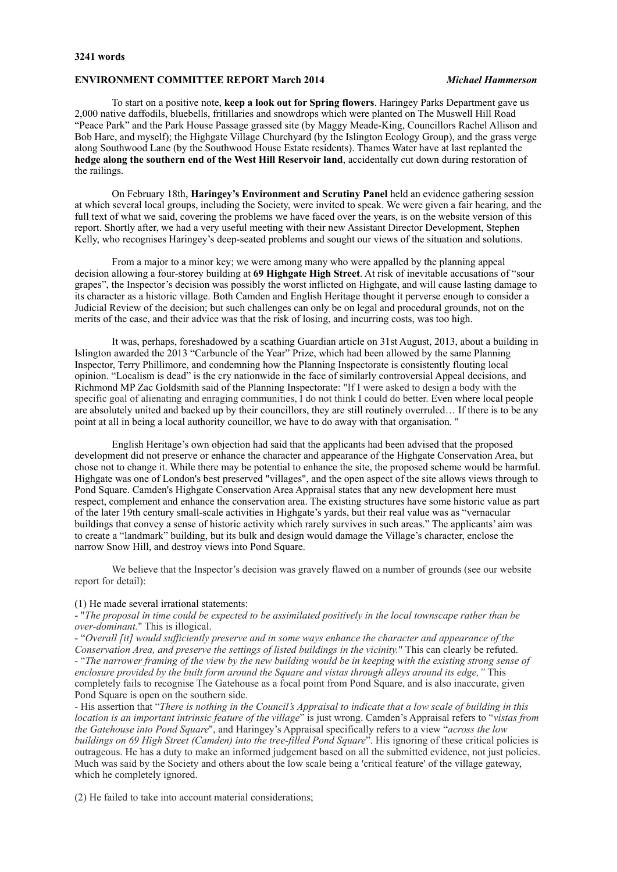#### **3241 words**

## **ENVIRONMENT COMMITTEE REPORT March 2014** *Michael Hammerson*

To start on a positive note, **keep a look out for Spring flowers**. Haringey Parks Department gave us 2,000 native daffodils, bluebells, fritillaries and snowdrops which were planted on The Muswell Hill Road "Peace Park" and the Park House Passage grassed site (by Maggy Meade-King, Councillors Rachel Allison and Bob Hare, and myself); the Highgate Village Churchyard (by the Islington Ecology Group), and the grass verge along Southwood Lane (by the Southwood House Estate residents). Thames Water have at last replanted the **hedge along the southern end of the West Hill Reservoir land**, accidentally cut down during restoration of the railings.

On February 18th, **Haringey's Environment and Scrutiny Panel** held an evidence gathering session at which several local groups, including the Society, were invited to speak. We were given a fair hearing, and the full text of what we said, covering the problems we have faced over the years, is on the website version of this report. Shortly after, we had a very useful meeting with their new Assistant Director Development, Stephen Kelly, who recognises Haringey's deep-seated problems and sought our views of the situation and solutions.

From a major to a minor key; we were among many who were appalled by the planning appeal decision allowing a four-storey building at **69 Highgate High Street**. At risk of inevitable accusations of "sour grapes", the Inspector's decision was possibly the worst inflicted on Highgate, and will cause lasting damage to its character as a historic village. Both Camden and English Heritage thought it perverse enough to consider a Judicial Review of the decision; but such challenges can only be on legal and procedural grounds, not on the merits of the case, and their advice was that the risk of losing, and incurring costs, was too high.

It was, perhaps, foreshadowed by a scathing Guardian article on 31st August, 2013, about a building in Islington awarded the 2013 "Carbuncle of the Year" Prize, which had been allowed by the same Planning Inspector, Terry Phillimore, and condemning how the Planning Inspectorate is consistently flouting local opinion. "Localism is dead" is the cry nationwide in the face of similarly controversial Appeal decisions, and Richmond MP Zac Goldsmith said of the Planning Inspectorate: "If I were asked to design a body with the specific goal of alienating and enraging communities, I do not think I could do better. Even where local people are absolutely united and backed up by their councillors, they are still routinely overruled… If there is to be any point at all in being a local authority councillor, we have to do away with that organisation. "

English Heritage's own objection had said that the applicants had been advised that the proposed development did not preserve or enhance the character and appearance of the Highgate Conservation Area, but chose not to change it. While there may be potential to enhance the site, the proposed scheme would be harmful. Highgate was one of London's best preserved "villages", and the open aspect of the site allows views through to Pond Square. Camden's Highgate Conservation Area Appraisal states that any new development here must respect, complement and enhance the conservation area. The existing structures have some historic value as part of the later 19th century small-scale activities in Highgate's yards, but their real value was as "vernacular buildings that convey a sense of historic activity which rarely survives in such areas." The applicants' aim was to create a "landmark" building, but its bulk and design would damage the Village's character, enclose the narrow Snow Hill, and destroy views into Pond Square.

We believe that the Inspector's decision was gravely flawed on a number of grounds (see our website report for detail):

## (1) He made several irrational statements:

- "*The proposal in time could be expected to be assimilated positively in the local townscape rather than be over-dominant.*" This is illogical.

- "*Overall [it] would sufficiently preserve and in some ways enhance the character and appearance of the Conservation Area, and preserve the settings of listed buildings in the vicinity.*" This can clearly be refuted. - "*The narrower framing of the view by the new building would be in keeping with the existing strong sense of enclosure provided by the built form around the Square and vistas through alleys around its edge,"* This completely fails to recognise The Gatehouse as a focal point from Pond Square, and is also inaccurate, given Pond Square is open on the southern side.

- His assertion that "*There is nothing in the Council's Appraisal to indicate that a low scale of building in this location is an important intrinsic feature of the village*" is just wrong. Camden's Appraisal refers to "*vistas from the Gatehouse into Pond Square*", and Haringey's Appraisal specifically refers to a view "*across the low buildings on 69 High Street (Camden) into the tree-filled Pond Square*". His ignoring of these critical policies is outrageous. He has a duty to make an informed judgement based on all the submitted evidence, not just policies. Much was said by the Society and others about the low scale being a 'critical feature' of the village gateway, which he completely ignored.

(2) He failed to take into account material considerations;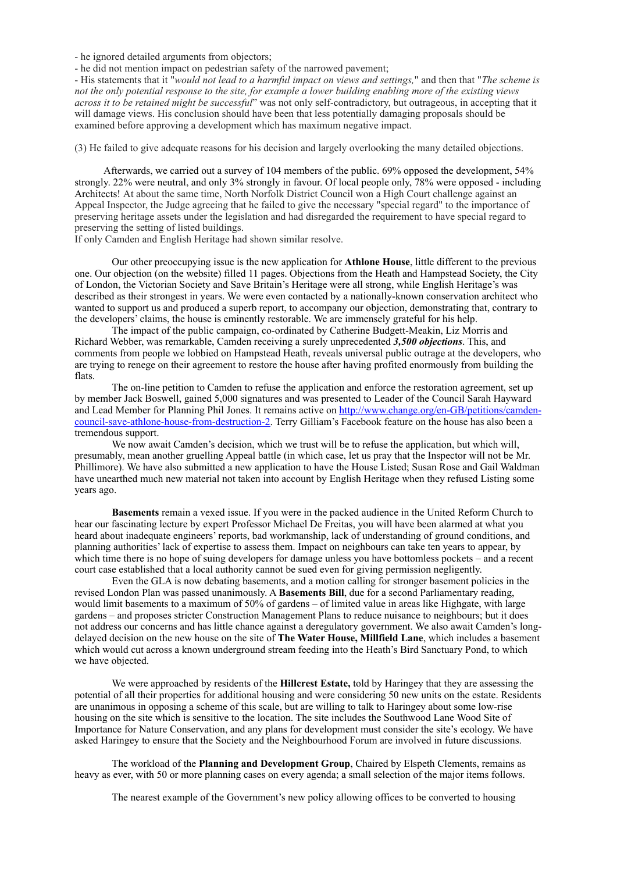- he ignored detailed arguments from objectors;

- he did not mention impact on pedestrian safety of the narrowed pavement;

- His statements that it "*would not lead to a harmful impact on views and settings,*" and then that "*The scheme is not the only potential response to the site, for example a lower building enabling more of the existing views across it to be retained might be successful*" was not only self-contradictory, but outrageous, in accepting that it will damage views. His conclusion should have been that less potentially damaging proposals should be examined before approving a development which has maximum negative impact.

(3) He failed to give adequate reasons for his decision and largely overlooking the many detailed objections.

 Afterwards, we carried out a survey of 104 members of the public. 69% opposed the development, 54% strongly. 22% were neutral, and only 3% strongly in favour. Of local people only, 78% were opposed - including Architects! At about the same time, North Norfolk District Council won a High Court challenge against an Appeal Inspector, the Judge agreeing that he failed to give the necessary "special regard" to the importance of preserving heritage assets under the legislation and had disregarded the requirement to have special regard to preserving the setting of listed buildings.

If only Camden and English Heritage had shown similar resolve.

Our other preoccupying issue is the new application for **Athlone House**, little different to the previous one. Our objection (on the website) filled 11 pages. Objections from the Heath and Hampstead Society, the City of London, the Victorian Society and Save Britain's Heritage were all strong, while English Heritage's was described as their strongest in years. We were even contacted by a nationally-known conservation architect who wanted to support us and produced a superb report, to accompany our objection, demonstrating that, contrary to the developers' claims, the house is eminently restorable. We are immensely grateful for his help.

The impact of the public campaign, co-ordinated by Catherine Budgett-Meakin, Liz Morris and Richard Webber, was remarkable, Camden receiving a surely unprecedented *3,500 objections*. This, and comments from people we lobbied on Hampstead Heath, reveals universal public outrage at the developers, who are trying to renege on their agreement to restore the house after having profited enormously from building the flats.

The on-line petition to Camden to refuse the application and enforce the restoration agreement, set up by member Jack Boswell, gained 5,000 signatures and was presented to Leader of the Council Sarah Hayward [and Lead Member for Planning Phil Jones. It remains active on http://www.change.org/en-GB/petitions/camden](http://www.change.org/en-GB/petitions/camden-council-save-athlone-house-from-destruction-2)council-save-athlone-house-from-destruction-2. Terry Gilliam's Facebook feature on the house has also been a tremendous support.

We now await Camden's decision, which we trust will be to refuse the application, but which will, presumably, mean another gruelling Appeal battle (in which case, let us pray that the Inspector will not be Mr. Phillimore). We have also submitted a new application to have the House Listed; Susan Rose and Gail Waldman have unearthed much new material not taken into account by English Heritage when they refused Listing some years ago.

 **Basements** remain a vexed issue. If you were in the packed audience in the United Reform Church to hear our fascinating lecture by expert Professor Michael De Freitas, you will have been alarmed at what you heard about inadequate engineers' reports, bad workmanship, lack of understanding of ground conditions, and planning authorities' lack of expertise to assess them. Impact on neighbours can take ten years to appear, by which time there is no hope of suing developers for damage unless you have bottomless pockets – and a recent court case established that a local authority cannot be sued even for giving permission negligently.

Even the GLA is now debating basements, and a motion calling for stronger basement policies in the revised London Plan was passed unanimously. A **Basements Bill**, due for a second Parliamentary reading, would limit basements to a maximum of 50% of gardens – of limited value in areas like Highgate, with large gardens – and proposes stricter Construction Management Plans to reduce nuisance to neighbours; but it does not address our concerns and has little chance against a deregulatory government. We also await Camden's longdelayed decision on the new house on the site of **The Water House, Millfield Lane**, which includes a basement which would cut across a known underground stream feeding into the Heath's Bird Sanctuary Pond, to which we have objected.

We were approached by residents of the **Hillcrest Estate,** told by Haringey that they are assessing the potential of all their properties for additional housing and were considering 50 new units on the estate. Residents are unanimous in opposing a scheme of this scale, but are willing to talk to Haringey about some low-rise housing on the site which is sensitive to the location. The site includes the Southwood Lane Wood Site of Importance for Nature Conservation, and any plans for development must consider the site's ecology. We have asked Haringey to ensure that the Society and the Neighbourhood Forum are involved in future discussions.

The workload of the **Planning and Development Group**, Chaired by Elspeth Clements, remains as heavy as ever, with 50 or more planning cases on every agenda; a small selection of the major items follows.

The nearest example of the Government's new policy allowing offices to be converted to housing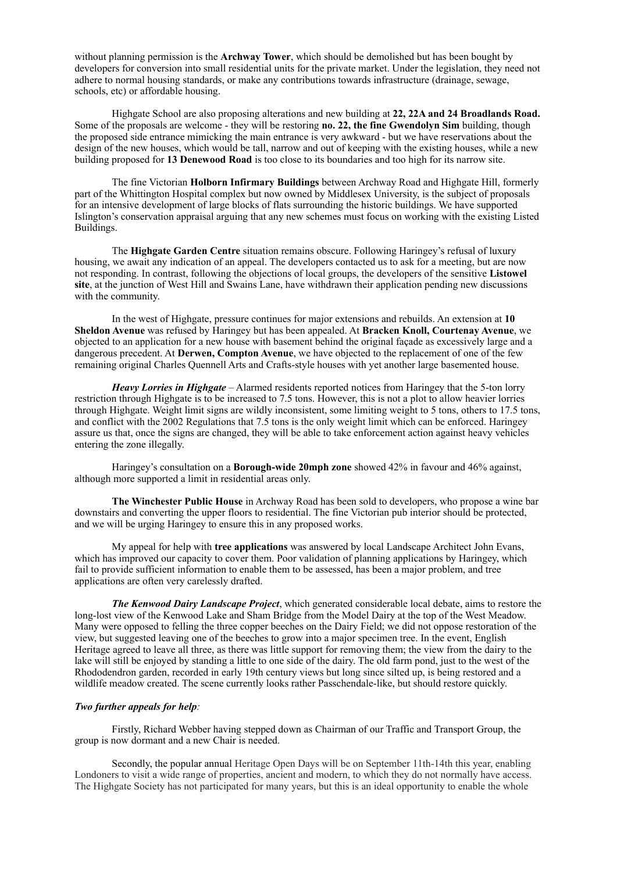without planning permission is the **Archway Tower**, which should be demolished but has been bought by developers for conversion into small residential units for the private market. Under the legislation, they need not adhere to normal housing standards, or make any contributions towards infrastructure (drainage, sewage, schools, etc) or affordable housing.

 Highgate School are also proposing alterations and new building at **22, 22A and 24 Broadlands Road.**  Some of the proposals are welcome - they will be restoring **no. 22, the fine Gwendolyn Sim** building, though the proposed side entrance mimicking the main entrance is very awkward - but we have reservations about the design of the new houses, which would be tall, narrow and out of keeping with the existing houses, while a new building proposed for **13 Denewood Road** is too close to its boundaries and too high for its narrow site.

 The fine Victorian **Holborn Infirmary Buildings** between Archway Road and Highgate Hill, formerly part of the Whittington Hospital complex but now owned by Middlesex University, is the subject of proposals for an intensive development of large blocks of flats surrounding the historic buildings. We have supported Islington's conservation appraisal arguing that any new schemes must focus on working with the existing Listed Buildings.

 The **Highgate Garden Centre** situation remains obscure. Following Haringey's refusal of luxury housing, we await any indication of an appeal. The developers contacted us to ask for a meeting, but are now not responding. In contrast, following the objections of local groups, the developers of the sensitive **Listowel site**, at the junction of West Hill and Swains Lane, have withdrawn their application pending new discussions with the community.

 In the west of Highgate, pressure continues for major extensions and rebuilds. An extension at **10 Sheldon Avenue** was refused by Haringey but has been appealed. At **Bracken Knoll, Courtenay Avenue**, we objected to an application for a new house with basement behind the original façade as excessively large and a dangerous precedent. At **Derwen, Compton Avenue**, we have objected to the replacement of one of the few remaining original Charles Quennell Arts and Crafts-style houses with yet another large basemented house.

*Heavy Lorries in Highgate* – Alarmed residents reported notices from Haringey that the 5-ton lorry restriction through Highgate is to be increased to 7.5 tons. However, this is not a plot to allow heavier lorries through Highgate. Weight limit signs are wildly inconsistent, some limiting weight to 5 tons, others to 17.5 tons, and conflict with the 2002 Regulations that 7.5 tons is the only weight limit which can be enforced. Haringey assure us that, once the signs are changed, they will be able to take enforcement action against heavy vehicles entering the zone illegally.

Haringey's consultation on a **Borough-wide 20mph zone** showed 42% in favour and 46% against, although more supported a limit in residential areas only.

**The Winchester Public House** in Archway Road has been sold to developers, who propose a wine bar downstairs and converting the upper floors to residential. The fine Victorian pub interior should be protected, and we will be urging Haringey to ensure this in any proposed works.

My appeal for help with **tree applications** was answered by local Landscape Architect John Evans, which has improved our capacity to cover them. Poor validation of planning applications by Haringey, which fail to provide sufficient information to enable them to be assessed, has been a major problem, and tree applications are often very carelessly drafted.

*The Kenwood Dairy Landscape Project*, which generated considerable local debate, aims to restore the long-lost view of the Kenwood Lake and Sham Bridge from the Model Dairy at the top of the West Meadow. Many were opposed to felling the three copper beeches on the Dairy Field; we did not oppose restoration of the view, but suggested leaving one of the beeches to grow into a major specimen tree. In the event, English Heritage agreed to leave all three, as there was little support for removing them; the view from the dairy to the lake will still be enjoyed by standing a little to one side of the dairy. The old farm pond, just to the west of the Rhododendron garden, recorded in early 19th century views but long since silted up, is being restored and a wildlife meadow created. The scene currently looks rather Passchendale-like, but should restore quickly.

### *Two further appeals for help:*

Firstly, Richard Webber having stepped down as Chairman of our Traffic and Transport Group, the group is now dormant and a new Chair is needed.

Secondly, the popular annual Heritage Open Days will be on September 11th-14th this year, enabling Londoners to visit a wide range of properties, ancient and modern, to which they do not normally have access. The Highgate Society has not participated for many years, but this is an ideal opportunity to enable the whole